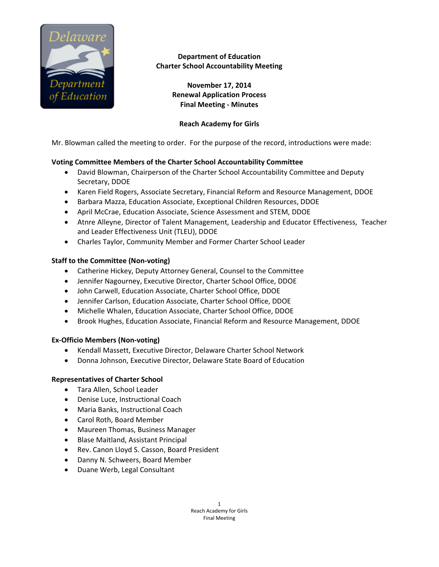

**Department of Education Charter School Accountability Meeting** 

> **November 17, 2014 Renewal Application Process Final Meeting ‐ Minutes**

#### **Reach Academy for Girls**

Mr. Blowman called the meeting to order. For the purpose of the record, introductions were made:

### **Voting Committee Members of the Charter School Accountability Committee**

- David Blowman, Chairperson of the Charter School Accountability Committee and Deputy Secretary, DDOE
- Karen Field Rogers, Associate Secretary, Financial Reform and Resource Management, DDOE
- Barbara Mazza, Education Associate, Exceptional Children Resources, DDOE
- April McCrae, Education Associate, Science Assessment and STEM, DDOE
- Atnre Alleyne, Director of Talent Management, Leadership and Educator Effectiveness, Teacher and Leader Effectiveness Unit (TLEU), DDOE
- Charles Taylor, Community Member and Former Charter School Leader

#### **Staff to the Committee (Non‐voting)**

- Catherine Hickey, Deputy Attorney General, Counsel to the Committee
- Jennifer Nagourney, Executive Director, Charter School Office, DDOE
- John Carwell, Education Associate, Charter School Office, DDOE
- Jennifer Carlson, Education Associate, Charter School Office, DDOE
- Michelle Whalen, Education Associate, Charter School Office, DDOE
- Brook Hughes, Education Associate, Financial Reform and Resource Management, DDOE

#### **Ex‐Officio Members (Non‐voting)**

- Kendall Massett, Executive Director, Delaware Charter School Network
- Donna Johnson, Executive Director, Delaware State Board of Education

#### **Representatives of Charter School**

- Tara Allen, School Leader
- Denise Luce, Instructional Coach
- Maria Banks, Instructional Coach
- Carol Roth, Board Member
- Maureen Thomas, Business Manager
- Blase Maitland, Assistant Principal
- Rev. Canon Lloyd S. Casson, Board President
- Danny N. Schweers, Board Member
- Duane Werb, Legal Consultant

1 Reach Academy for Girls Final Meeting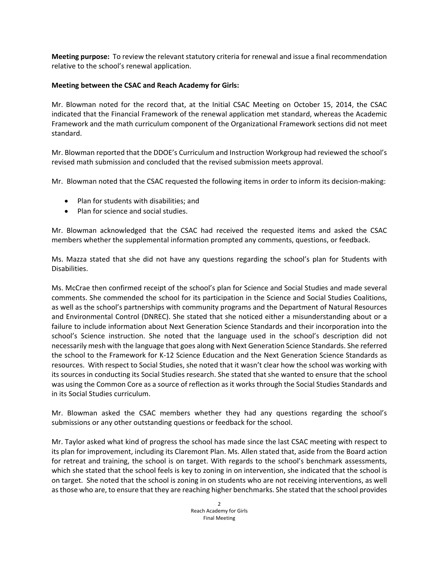**Meeting purpose:** To review the relevant statutory criteria for renewal and issue a final recommendation relative to the school's renewal application.

## **Meeting between the CSAC and Reach Academy for Girls:**

Mr. Blowman noted for the record that, at the Initial CSAC Meeting on October 15, 2014, the CSAC indicated that the Financial Framework of the renewal application met standard, whereas the Academic Framework and the math curriculum component of the Organizational Framework sections did not meet standard.

Mr. Blowman reported that the DDOE's Curriculum and Instruction Workgroup had reviewed the school's revised math submission and concluded that the revised submission meets approval.

Mr. Blowman noted that the CSAC requested the following items in order to inform its decision‐making:

- Plan for students with disabilities; and
- Plan for science and social studies.

Mr. Blowman acknowledged that the CSAC had received the requested items and asked the CSAC members whether the supplemental information prompted any comments, questions, or feedback.

Ms. Mazza stated that she did not have any questions regarding the school's plan for Students with Disabilities.

Ms. McCrae then confirmed receipt of the school's plan for Science and Social Studies and made several comments. She commended the school for its participation in the Science and Social Studies Coalitions, as well as the school's partnerships with community programs and the Department of Natural Resources and Environmental Control (DNREC). She stated that she noticed either a misunderstanding about or a failure to include information about Next Generation Science Standards and their incorporation into the school's Science instruction. She noted that the language used in the school's description did not necessarily mesh with the language that goes along with Next Generation Science Standards. She referred the school to the Framework for K‐12 Science Education and the Next Generation Science Standards as resources. With respect to Social Studies, she noted that it wasn't clear how the school was working with its sources in conducting its Social Studies research. She stated that she wanted to ensure that the school was using the Common Core as a source of reflection as it works through the Social Studies Standards and in its Social Studies curriculum.

Mr. Blowman asked the CSAC members whether they had any questions regarding the school's submissions or any other outstanding questions or feedback for the school.

Mr. Taylor asked what kind of progress the school has made since the last CSAC meeting with respect to its plan for improvement, including its Claremont Plan. Ms. Allen stated that, aside from the Board action for retreat and training, the school is on target. With regards to the school's benchmark assessments, which she stated that the school feels is key to zoning in on intervention, she indicated that the school is on target. She noted that the school is zoning in on students who are not receiving interventions, as well asthose who are, to ensure that they are reaching higher benchmarks. She stated that the school provides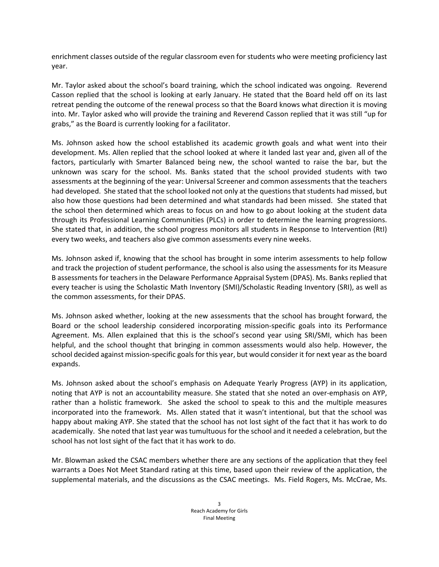enrichment classes outside of the regular classroom even for students who were meeting proficiency last year.

Mr. Taylor asked about the school's board training, which the school indicated was ongoing. Reverend Casson replied that the school is looking at early January. He stated that the Board held off on its last retreat pending the outcome of the renewal process so that the Board knows what direction it is moving into. Mr. Taylor asked who will provide the training and Reverend Casson replied that it was still "up for grabs," as the Board is currently looking for a facilitator.

Ms. Johnson asked how the school established its academic growth goals and what went into their development. Ms. Allen replied that the school looked at where it landed last year and, given all of the factors, particularly with Smarter Balanced being new, the school wanted to raise the bar, but the unknown was scary for the school. Ms. Banks stated that the school provided students with two assessments at the beginning of the year: Universal Screener and common assessments that the teachers had developed. She stated that the school looked not only at the questions that students had missed, but also how those questions had been determined and what standards had been missed. She stated that the school then determined which areas to focus on and how to go about looking at the student data through its Professional Learning Communities (PLCs) in order to determine the learning progressions. She stated that, in addition, the school progress monitors all students in Response to Intervention (RtI) every two weeks, and teachers also give common assessments every nine weeks.

Ms. Johnson asked if, knowing that the school has brought in some interim assessments to help follow and track the projection of student performance, the school is also using the assessments for its Measure B assessments for teachers in the Delaware Performance Appraisal System (DPAS). Ms. Banks replied that every teacher is using the Scholastic Math Inventory (SMI)/Scholastic Reading Inventory (SRI), as well as the common assessments, for their DPAS.

Ms. Johnson asked whether, looking at the new assessments that the school has brought forward, the Board or the school leadership considered incorporating mission‐specific goals into its Performance Agreement. Ms. Allen explained that this is the school's second year using SRI/SMI, which has been helpful, and the school thought that bringing in common assessments would also help. However, the school decided against mission-specific goals for this year, but would consider it for next year as the board expands.

Ms. Johnson asked about the school's emphasis on Adequate Yearly Progress (AYP) in its application, noting that AYP is not an accountability measure. She stated that she noted an over-emphasis on AYP, rather than a holistic framework. She asked the school to speak to this and the multiple measures incorporated into the framework. Ms. Allen stated that it wasn't intentional, but that the school was happy about making AYP. She stated that the school has not lost sight of the fact that it has work to do academically. She noted that last year was tumultuous for the school and it needed a celebration, but the school has not lost sight of the fact that it has work to do.

Mr. Blowman asked the CSAC members whether there are any sections of the application that they feel warrants a Does Not Meet Standard rating at this time, based upon their review of the application, the supplemental materials, and the discussions as the CSAC meetings. Ms. Field Rogers, Ms. McCrae, Ms.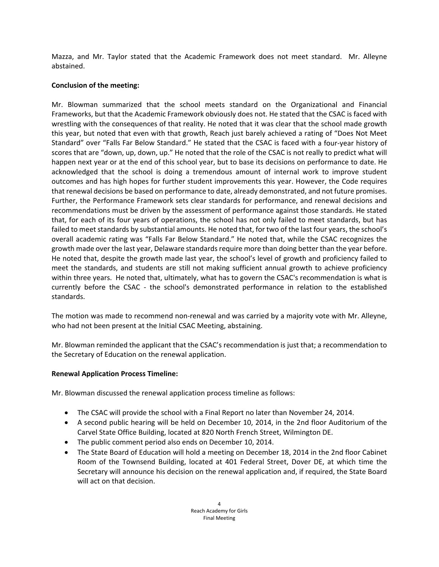Mazza, and Mr. Taylor stated that the Academic Framework does not meet standard. Mr. Alleyne abstained.

# **Conclusion of the meeting:**

Mr. Blowman summarized that the school meets standard on the Organizational and Financial Frameworks, but that the Academic Framework obviously does not. He stated that the CSAC is faced with wrestling with the consequences of that reality. He noted that it was clear that the school made growth this year, but noted that even with that growth, Reach just barely achieved a rating of "Does Not Meet Standard" over "Falls Far Below Standard." He stated that the CSAC is faced with a four‐year history of scores that are "down, up, down, up." He noted that the role of the CSAC is not really to predict what will happen next year or at the end of this school year, but to base its decisions on performance to date. He acknowledged that the school is doing a tremendous amount of internal work to improve student outcomes and has high hopes for further student improvements this year. However, the Code requires that renewal decisions be based on performance to date, already demonstrated, and not future promises. Further, the Performance Framework sets clear standards for performance, and renewal decisions and recommendations must be driven by the assessment of performance against those standards. He stated that, for each of its four years of operations, the school has not only failed to meet standards, but has failed to meet standards by substantial amounts. He noted that, for two of the last four years, the school's overall academic rating was "Falls Far Below Standard." He noted that, while the CSAC recognizes the growth made over the last year, Delaware standards require more than doing better than the year before. He noted that, despite the growth made last year, the school's level of growth and proficiency failed to meet the standards, and students are still not making sufficient annual growth to achieve proficiency within three years. He noted that, ultimately, what has to govern the CSAC's recommendation is what is currently before the CSAC - the school's demonstrated performance in relation to the established standards.

The motion was made to recommend non-renewal and was carried by a majority vote with Mr. Alleyne, who had not been present at the Initial CSAC Meeting, abstaining.

Mr. Blowman reminded the applicant that the CSAC's recommendation is just that; a recommendation to the Secretary of Education on the renewal application.

## **Renewal Application Process Timeline:**

Mr. Blowman discussed the renewal application process timeline as follows:

- The CSAC will provide the school with a Final Report no later than November 24, 2014.
- A second public hearing will be held on December 10, 2014, in the 2nd floor Auditorium of the Carvel State Office Building, located at 820 North French Street, Wilmington DE.
- The public comment period also ends on December 10, 2014.
- The State Board of Education will hold a meeting on December 18, 2014 in the 2nd floor Cabinet Room of the Townsend Building, located at 401 Federal Street, Dover DE, at which time the Secretary will announce his decision on the renewal application and, if required, the State Board will act on that decision.